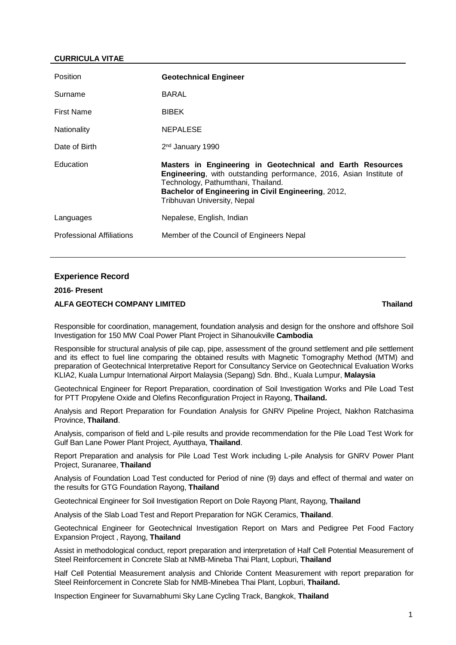## **CURRICULA VITAE**

| <b>Position</b>   | <b>Geotechnical Engineer</b>                                                                                                                                                                                                                                         |
|-------------------|----------------------------------------------------------------------------------------------------------------------------------------------------------------------------------------------------------------------------------------------------------------------|
| Surname           | BARAL                                                                                                                                                                                                                                                                |
| <b>First Name</b> | <b>BIBEK</b>                                                                                                                                                                                                                                                         |
| Nationality       | <b>NEPALESE</b>                                                                                                                                                                                                                                                      |
| Date of Birth     | 2 <sup>nd</sup> January 1990                                                                                                                                                                                                                                         |
|                   |                                                                                                                                                                                                                                                                      |
| Education         | Masters in Engineering in Geotechnical and Earth Resources<br><b>Engineering, with outstanding performance, 2016, Asian Institute of</b><br>Technology, Pathumthani, Thailand.<br>Bachelor of Engineering in Civil Engineering, 2012,<br>Tribhuvan University, Nepal |
| Languages         | Nepalese, English, Indian                                                                                                                                                                                                                                            |

#### **Experience Record**

## **2016- Present**

#### **ALFA GEOTECH COMPANY LIMITED Thailand**

Responsible for coordination, management, foundation analysis and design for the onshore and offshore Soil Investigation for 150 MW Coal Power Plant Project in Sihanoukville **Cambodia**

Responsible for structural analysis of pile cap, pipe, assessment of the ground settlement and pile settlement and its effect to fuel line comparing the obtained results with Magnetic Tomography Method (MTM) and preparation of Geotechnical Interpretative Report for Consultancy Service on Geotechnical Evaluation Works KLIA2, Kuala Lumpur International Airport Malaysia (Sepang) Sdn. Bhd., Kuala Lumpur, **Malaysia**

Geotechnical Engineer for Report Preparation, coordination of Soil Investigation Works and Pile Load Test for PTT Propylene Oxide and Olefins Reconfiguration Project in Rayong, **Thailand.**

Analysis and Report Preparation for Foundation Analysis for GNRV Pipeline Project, Nakhon Ratchasima Province, **Thailand**.

Analysis, comparison of field and L-pile results and provide recommendation for the Pile Load Test Work for Gulf Ban Lane Power Plant Project, Ayutthaya, **Thailand**.

Report Preparation and analysis for Pile Load Test Work including L-pile Analysis for GNRV Power Plant Project, Suranaree, **Thailand**

Analysis of Foundation Load Test conducted for Period of nine (9) days and effect of thermal and water on the results for GTG Foundation Rayong, **Thailand**

Geotechnical Engineer for Soil Investigation Report on Dole Rayong Plant, Rayong, **Thailand**

Analysis of the Slab Load Test and Report Preparation for NGK Ceramics, **Thailand**.

Geotechnical Engineer for Geotechnical Investigation Report on Mars and Pedigree Pet Food Factory Expansion Project , Rayong, **Thailand**

Assist in methodological conduct, report preparation and interpretation of Half Cell Potential Measurement of Steel Reinforcement in Concrete Slab at NMB-Mineba Thai Plant, Lopburi, **Thailand**

Half Cell Potential Measurement analysis and Chloride Content Measurement with report preparation for Steel Reinforcement in Concrete Slab for NMB-Minebea Thai Plant, Lopburi, **Thailand.**

Inspection Engineer for Suvarnabhumi Sky Lane Cycling Track, Bangkok, **Thailand**